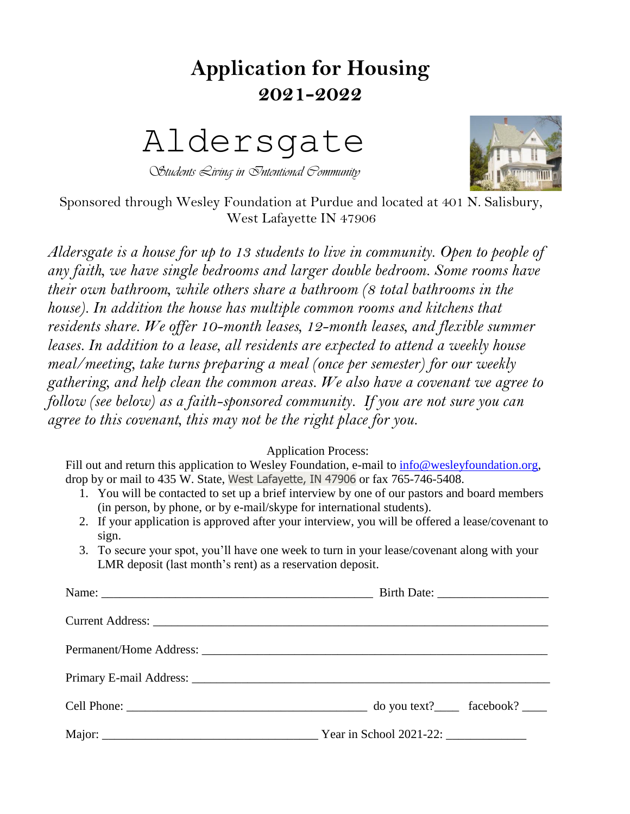## **Application for Housing 2021-2022**

## Aldersgate

*Students Living in Intentional Community*



Sponsored through Wesley Foundation at Purdue and located at 401 N. Salisbury, West Lafayette IN 47906

*Aldersgate is a house for up to 13 students to live in community. Open to people of any faith, we have single bedrooms and larger double bedroom. Some rooms have their own bathroom, while others share a bathroom (8 total bathrooms in the house*). In addition the house has multiple common rooms and kitchens that *residents share. We offer 10-month leases, 12-month leases, and flexible summer leases. In addition to a lease, all residents are expected to attend a weekly house meal/meeting, take turns preparing a meal (once per semester) for our weekly gathering, and help clean the common areas. We also have a covenant we agree to follow (see below) as a faith-sponsored community. If you are not sure you can agree to this covenant, this may not be the right place for you.*

## Application Process:

Fill out and return this application to Wesley Foundation, e-mail to [info@wesleyfoundation.org,](mailto:info@wesleyfoundation.org) drop by or mail to 435 W. State, West Lafayette, IN 47906 or fax 765-746-5408.

- 1. You will be contacted to set up a brief interview by one of our pastors and board members (in person, by phone, or by e-mail/skype for international students).
- 2. If your application is approved after your interview, you will be offered a lease/covenant to sign.
- 3. To secure your spot, you'll have one week to turn in your lease/covenant along with your LMR deposit (last month's rent) as a reservation deposit.